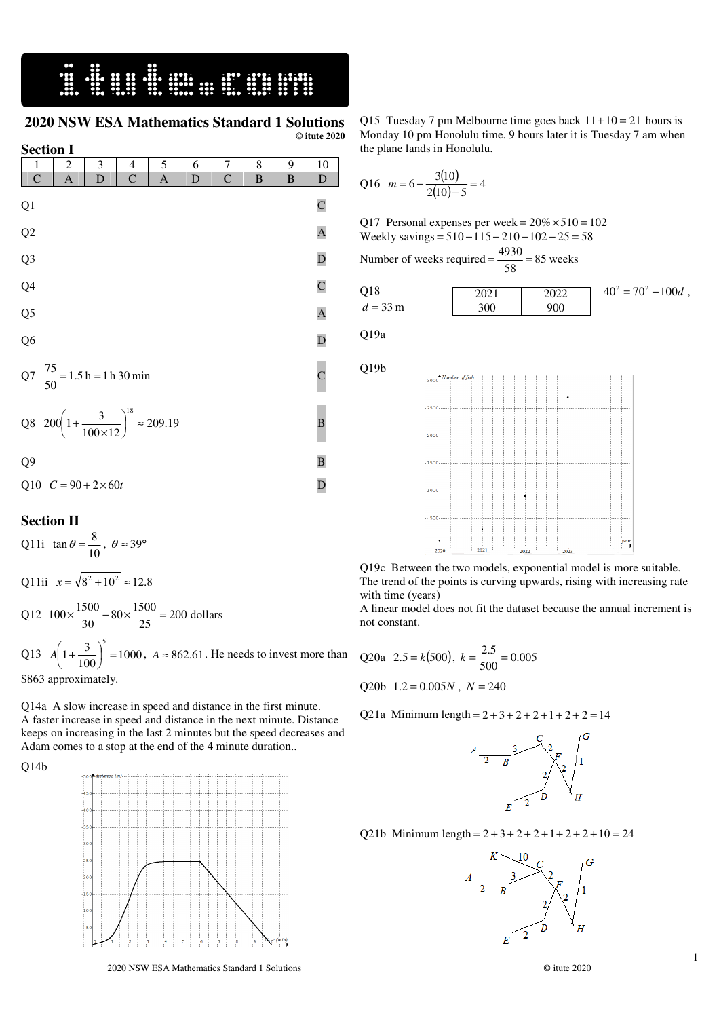**2020 NSW ESA Mathematics Standard 1 Solutions © itute 2020** 

| Section I |  |
|-----------|--|
|           |  |

|                 | оссион 1       |                                                                  |                |                |   |                |   |              |                         |
|-----------------|----------------|------------------------------------------------------------------|----------------|----------------|---|----------------|---|--------------|-------------------------|
| $\mathbf{1}$    | 2              | 3                                                                | 4              | 5              | 6 | 7              | 8 | 9            | 10                      |
| $\overline{C}$  | $\overline{A}$ | D                                                                | $\overline{C}$ | $\overline{A}$ | D | $\overline{C}$ | B | $\, {\bf B}$ | $\mathbf D$             |
| Q1              |                |                                                                  |                |                |   |                |   |              | $\mathbf C$             |
| Q2              |                |                                                                  |                |                |   |                |   |              | $\mathbf A$             |
| Q3              |                |                                                                  |                |                |   |                |   |              | $\overline{\mathsf{D}}$ |
| Q <sup>4</sup>  |                |                                                                  |                |                |   |                |   |              | $\mathbf C$             |
| Q <sub>5</sub>  |                |                                                                  |                |                |   |                |   |              | $\mathbf{A}$            |
| $\overline{Q6}$ |                |                                                                  |                |                |   |                |   |              | $\overline{\mathsf{D}}$ |
|                 |                | Q7 $\frac{75}{50}$ = 1.5 h = 1 h 30 min                          |                |                |   |                |   |              | $\mathbf{C}$            |
|                 |                | Q8 $200\left(1+\frac{3}{100\times12}\right)^{18} \approx 209.19$ |                |                |   |                |   |              | $\overline{\mathbf{B}}$ |
| Q <sub>9</sub>  |                |                                                                  |                |                |   |                |   |              | $\overline{\mathbf{B}}$ |
|                 |                | Q10 $C = 90 + 2 \times 60t$                                      |                |                |   |                |   |              | $\overline{\mathbf{D}}$ |

## **Section II**

Q11i  $\tan \theta = \frac{6}{10}$  $\tan \theta = \frac{8}{10}$ ,  $\theta \approx 39^\circ$ 

Q11ii  $x = \sqrt{8^2 + 10^2} \approx 12.8$ 

Q12  $100 \times \frac{1500}{30} - 80 \times \frac{1500}{25} = 200$  dollars

Q13  $A\left(1+\frac{5}{100}\right) = 1000$  $1 + \frac{3}{10}$ 5  $\Big\} =$  $\left(1+\frac{3}{\cdots}\right)$ l  $A\left(1+\frac{3}{100}\right)^3 = 1000$ ,  $A \approx 862.61$ . He needs to invest more than \$863 approximately.

Q14a A slow increase in speed and distance in the first minute. A faster increase in speed and distance in the next minute. Distance keeps on increasing in the last 2 minutes but the speed decreases and Adam comes to a stop at the end of the 4 minute duration..

Q14b



Q15 Tuesday 7 pm Melbourne time goes back  $11+10=21$  hours is Monday 10 pm Honolulu time. 9 hours later it is Tuesday 7 am when the plane lands in Honolulu.

Q16 
$$
m=6-\frac{3(10)}{2(10)-5}=4
$$

Q17 Personal expenses per week =  $20\% \times 510 = 102$ Weekly savings =  $510 - 115 - 210 - 102 - 25 = 58$ Number of weeks required  $= \frac{4930}{50} = 85$  weeks

$$
mber of weeks required = \frac{}{58} = 85 weeks
$$

Q18  
\n
$$
d = 33 \text{ m}
$$
 
$$
\begin{array}{|c|c|c|c|c|c|}\n\hline\n2021 & 2022 & 40^2 = 70^2 - 100d, \\
\hline\n300 & 900 & & \n\end{array}
$$

Q19a

Q19b



Q19c Between the two models, exponential model is more suitable. The trend of the points is curving upwards, rising with increasing rate with time (years)

A linear model does not fit the dataset because the annual increment is not constant.

Q20a 2.5 =  $k(500)$ ,  $k = \frac{2.5}{500} = 0.005$  $k = \frac{2.5}{5.28} =$ Q20b  $1.2 = 0.005N$ ,  $N = 240$ 

Q21a Minimum length =  $2 + 3 + 2 + 2 + 1 + 2 + 2 = 14$ 



Q21b Minimum length =  $2 + 3 + 2 + 2 + 1 + 2 + 2 + 10 = 24$ 



## 2020 NSW ESA Mathematics Standard 1 Solutions © itute 2020